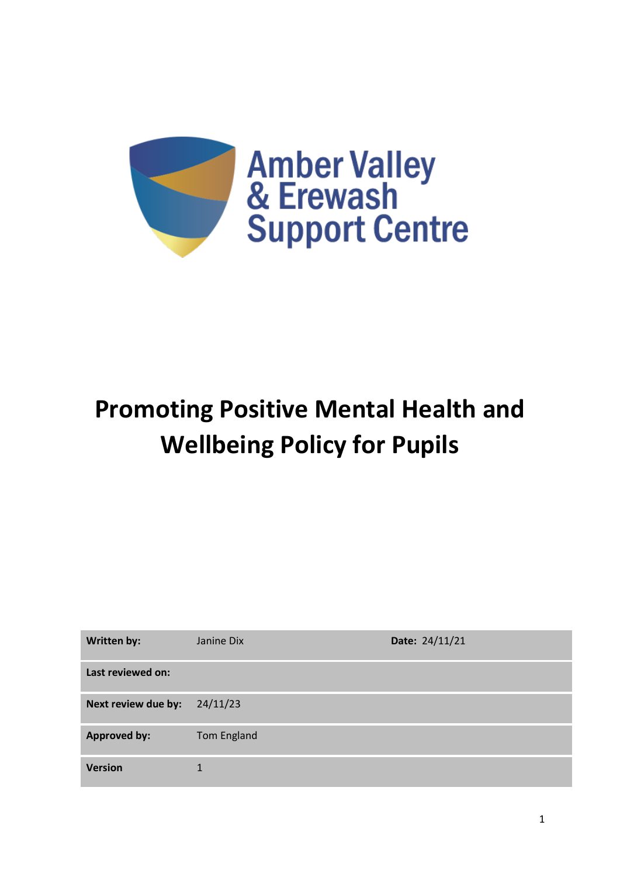

# **Promoting Positive Mental Health and Wellbeing Policy for Pupils**

| <b>Written by:</b>  | Janine Dix  | Date: 24/11/21 |
|---------------------|-------------|----------------|
| Last reviewed on:   |             |                |
| Next review due by: | 24/11/23    |                |
| <b>Approved by:</b> | Tom England |                |
| <b>Version</b>      |             |                |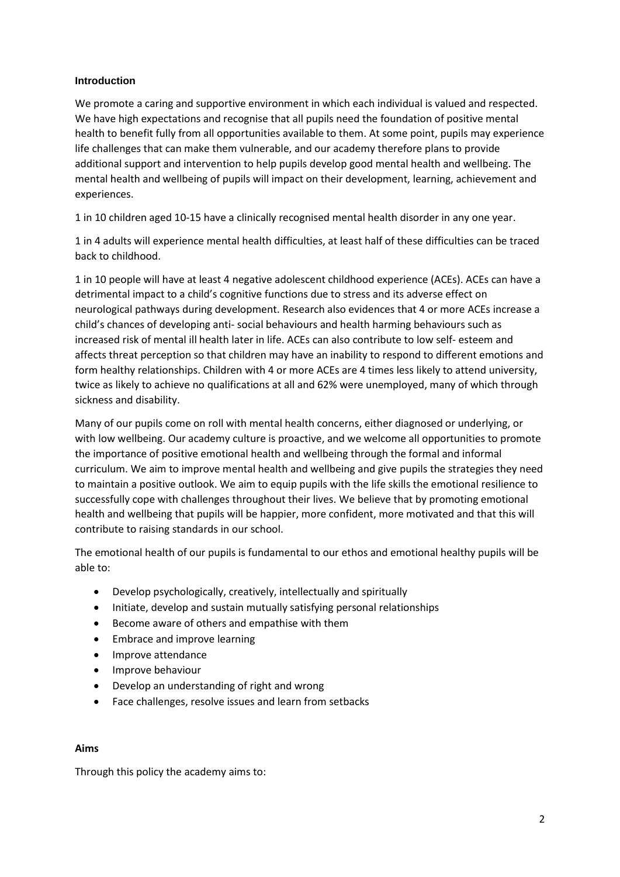## **Introduction**

We promote a caring and supportive environment in which each individual is valued and respected. We have high expectations and recognise that all pupils need the foundation of positive mental health to benefit fully from all opportunities available to them. At some point, pupils may experience life challenges that can make them vulnerable, and our academy therefore plans to provide additional support and intervention to help pupils develop good mental health and wellbeing. The mental health and wellbeing of pupils will impact on their development, learning, achievement and experiences.

1 in 10 children aged 10-15 have a clinically recognised mental health disorder in any one year.

1 in 4 adults will experience mental health difficulties, at least half of these difficulties can be traced back to childhood.

1 in 10 people will have at least 4 negative adolescent childhood experience (ACEs). ACEs can have a detrimental impact to a child's cognitive functions due to stress and its adverse effect on neurological pathways during development. Research also evidences that 4 or more ACEs increase a child's chances of developing anti- social behaviours and health harming behaviours such as increased risk of mental ill health later in life. ACEs can also contribute to low self- esteem and affects threat perception so that children may have an inability to respond to different emotions and form healthy relationships. Children with 4 or more ACEs are 4 times less likely to attend university, twice as likely to achieve no qualifications at all and 62% were unemployed, many of which through sickness and disability.

Many of our pupils come on roll with mental health concerns, either diagnosed or underlying, or with low wellbeing. Our academy culture is proactive, and we welcome all opportunities to promote the importance of positive emotional health and wellbeing through the formal and informal curriculum. We aim to improve mental health and wellbeing and give pupils the strategies they need to maintain a positive outlook. We aim to equip pupils with the life skills the emotional resilience to successfully cope with challenges throughout their lives. We believe that by promoting emotional health and wellbeing that pupils will be happier, more confident, more motivated and that this will contribute to raising standards in our school.

The emotional health of our pupils is fundamental to our ethos and emotional healthy pupils will be able to:

- Develop psychologically, creatively, intellectually and spiritually
- Initiate, develop and sustain mutually satisfying personal relationships
- Become aware of others and empathise with them
- Embrace and improve learning
- Improve attendance
- Improve behaviour
- Develop an understanding of right and wrong
- Face challenges, resolve issues and learn from setbacks

## **Aims**

Through this policy the academy aims to: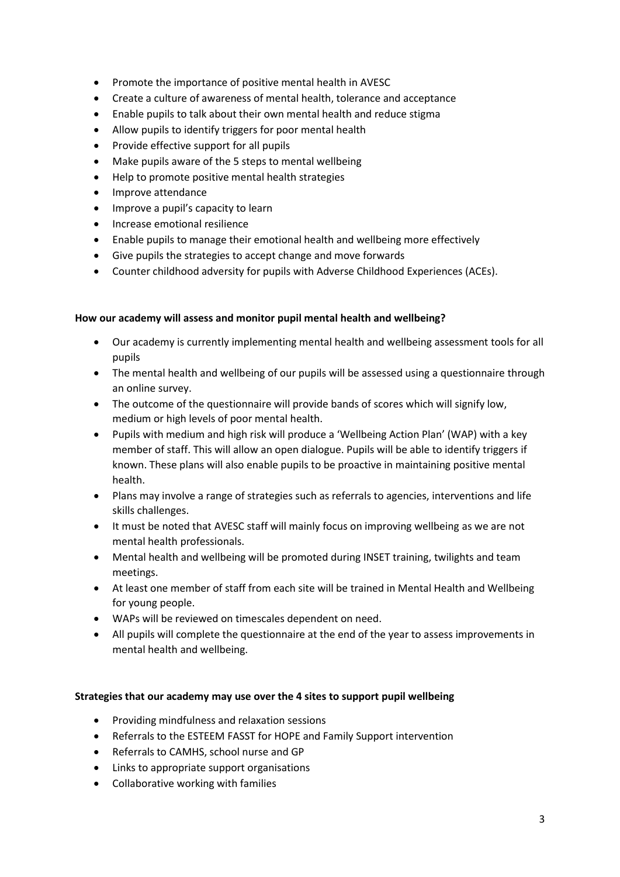- Promote the importance of positive mental health in AVESC
- Create a culture of awareness of mental health, tolerance and acceptance
- Enable pupils to talk about their own mental health and reduce stigma
- Allow pupils to identify triggers for poor mental health
- Provide effective support for all pupils
- Make pupils aware of the 5 steps to mental wellbeing
- Help to promote positive mental health strategies
- Improve attendance
- Improve a pupil's capacity to learn
- Increase emotional resilience
- Enable pupils to manage their emotional health and wellbeing more effectively
- Give pupils the strategies to accept change and move forwards
- Counter childhood adversity for pupils with Adverse Childhood Experiences (ACEs).

## **How our academy will assess and monitor pupil mental health and wellbeing?**

- Our academy is currently implementing mental health and wellbeing assessment tools for all pupils
- The mental health and wellbeing of our pupils will be assessed using a questionnaire through an online survey.
- The outcome of the questionnaire will provide bands of scores which will signify low, medium or high levels of poor mental health.
- Pupils with medium and high risk will produce a 'Wellbeing Action Plan' (WAP) with a key member of staff. This will allow an open dialogue. Pupils will be able to identify triggers if known. These plans will also enable pupils to be proactive in maintaining positive mental health.
- Plans may involve a range of strategies such as referrals to agencies, interventions and life skills challenges.
- It must be noted that AVESC staff will mainly focus on improving wellbeing as we are not mental health professionals.
- Mental health and wellbeing will be promoted during INSET training, twilights and team meetings.
- At least one member of staff from each site will be trained in Mental Health and Wellbeing for young people.
- WAPs will be reviewed on timescales dependent on need.
- All pupils will complete the questionnaire at the end of the year to assess improvements in mental health and wellbeing.

## **Strategies that our academy may use over the 4 sites to support pupil wellbeing**

- Providing mindfulness and relaxation sessions
- Referrals to the ESTEEM FASST for HOPE and Family Support intervention
- Referrals to CAMHS, school nurse and GP
- Links to appropriate support organisations
- Collaborative working with families